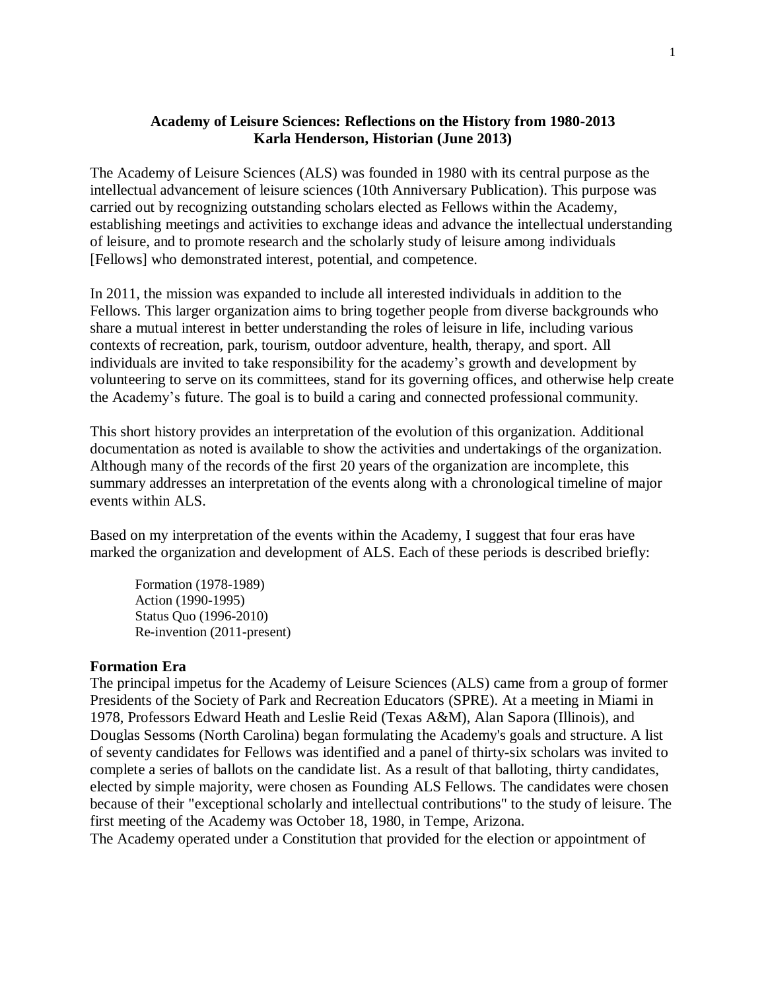## **Academy of Leisure Sciences: Reflections on the History from 1980-2013 Karla Henderson, Historian (June 2013)**

The Academy of Leisure Sciences (ALS) was founded in 1980 with its central purpose as the intellectual advancement of leisure sciences (10th Anniversary Publication). This purpose was carried out by recognizing outstanding scholars elected as Fellows within the Academy, establishing meetings and activities to exchange ideas and advance the intellectual understanding of leisure, and to promote research and the scholarly study of leisure among individuals [Fellows] who demonstrated interest, potential, and competence.

In 2011, the mission was expanded to include all interested individuals in addition to the Fellows. This larger organization aims to bring together people from diverse backgrounds who share a mutual interest in better understanding the roles of leisure in life, including various contexts of recreation, park, tourism, outdoor adventure, health, therapy, and sport. All individuals are invited to take responsibility for the academy's growth and development by volunteering to serve on its committees, stand for its governing offices, and otherwise help create the Academy's future. The goal is to build a caring and connected professional community.

This short history provides an interpretation of the evolution of this organization. Additional documentation as noted is available to show the activities and undertakings of the organization. Although many of the records of the first 20 years of the organization are incomplete, this summary addresses an interpretation of the events along with a chronological timeline of major events within ALS.

Based on my interpretation of the events within the Academy, I suggest that four eras have marked the organization and development of ALS. Each of these periods is described briefly:

Formation (1978-1989) Action (1990-1995) Status Quo (1996-2010) Re-invention (2011-present)

### **Formation Era**

The principal impetus for the Academy of Leisure Sciences (ALS) came from a group of former Presidents of the Society of Park and Recreation Educators (SPRE). At a meeting in Miami in 1978, Professors Edward Heath and Leslie Reid (Texas A&M), Alan Sapora (Illinois), and Douglas Sessoms (North Carolina) began formulating the Academy's goals and structure. A list of seventy candidates for Fellows was identified and a panel of thirty-six scholars was invited to complete a series of ballots on the candidate list. As a result of that balloting, thirty candidates, elected by simple majority, were chosen as Founding ALS Fellows. The candidates were chosen because of their "exceptional scholarly and intellectual contributions" to the study of leisure. The first meeting of the Academy was October 18, 1980, in Tempe, Arizona.

The Academy operated under a Constitution that provided for the election or appointment of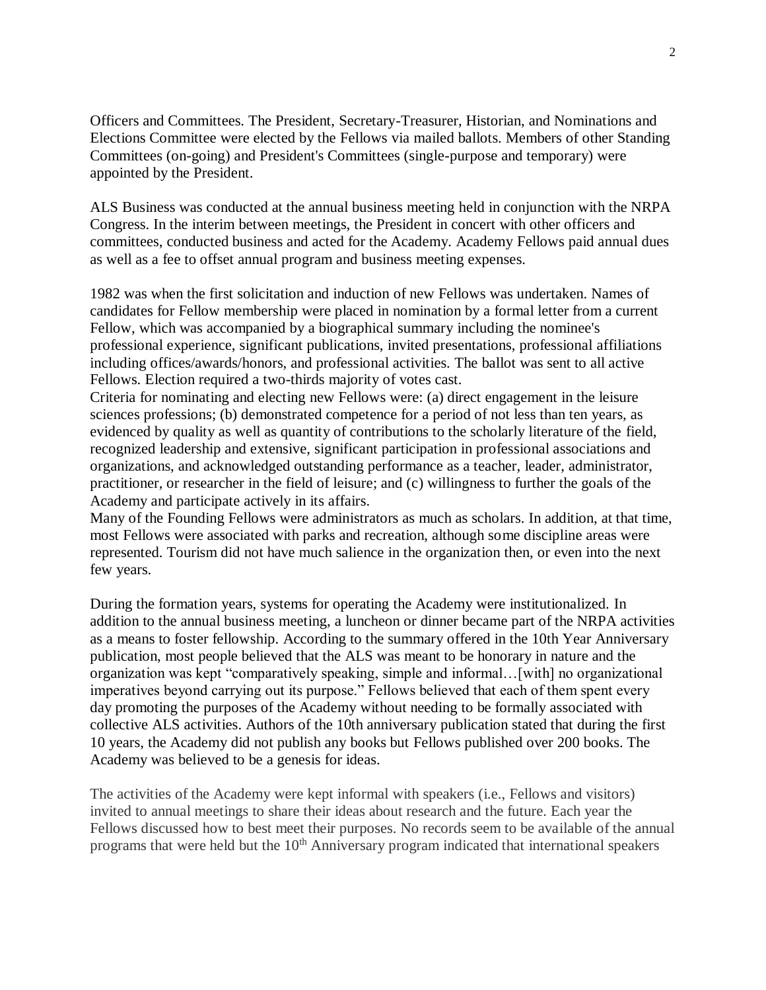Officers and Committees. The President, Secretary-Treasurer, Historian, and Nominations and Elections Committee were elected by the Fellows via mailed ballots. Members of other Standing Committees (on-going) and President's Committees (single-purpose and temporary) were appointed by the President.

ALS Business was conducted at the annual business meeting held in conjunction with the NRPA Congress. In the interim between meetings, the President in concert with other officers and committees, conducted business and acted for the Academy. Academy Fellows paid annual dues as well as a fee to offset annual program and business meeting expenses.

1982 was when the first solicitation and induction of new Fellows was undertaken. Names of candidates for Fellow membership were placed in nomination by a formal letter from a current Fellow, which was accompanied by a biographical summary including the nominee's professional experience, significant publications, invited presentations, professional affiliations including offices/awards/honors, and professional activities. The ballot was sent to all active Fellows. Election required a two-thirds majority of votes cast.

Criteria for nominating and electing new Fellows were: (a) direct engagement in the leisure sciences professions; (b) demonstrated competence for a period of not less than ten years, as evidenced by quality as well as quantity of contributions to the scholarly literature of the field, recognized leadership and extensive, significant participation in professional associations and organizations, and acknowledged outstanding performance as a teacher, leader, administrator, practitioner, or researcher in the field of leisure; and (c) willingness to further the goals of the Academy and participate actively in its affairs.

Many of the Founding Fellows were administrators as much as scholars. In addition, at that time, most Fellows were associated with parks and recreation, although some discipline areas were represented. Tourism did not have much salience in the organization then, or even into the next few years.

During the formation years, systems for operating the Academy were institutionalized. In addition to the annual business meeting, a luncheon or dinner became part of the NRPA activities as a means to foster fellowship. According to the summary offered in the 10th Year Anniversary publication, most people believed that the ALS was meant to be honorary in nature and the organization was kept "comparatively speaking, simple and informal…[with] no organizational imperatives beyond carrying out its purpose." Fellows believed that each of them spent every day promoting the purposes of the Academy without needing to be formally associated with collective ALS activities. Authors of the 10th anniversary publication stated that during the first 10 years, the Academy did not publish any books but Fellows published over 200 books. The Academy was believed to be a genesis for ideas.

The activities of the Academy were kept informal with speakers (i.e., Fellows and visitors) invited to annual meetings to share their ideas about research and the future. Each year the Fellows discussed how to best meet their purposes. No records seem to be available of the annual programs that were held but the  $10<sup>th</sup>$  Anniversary program indicated that international speakers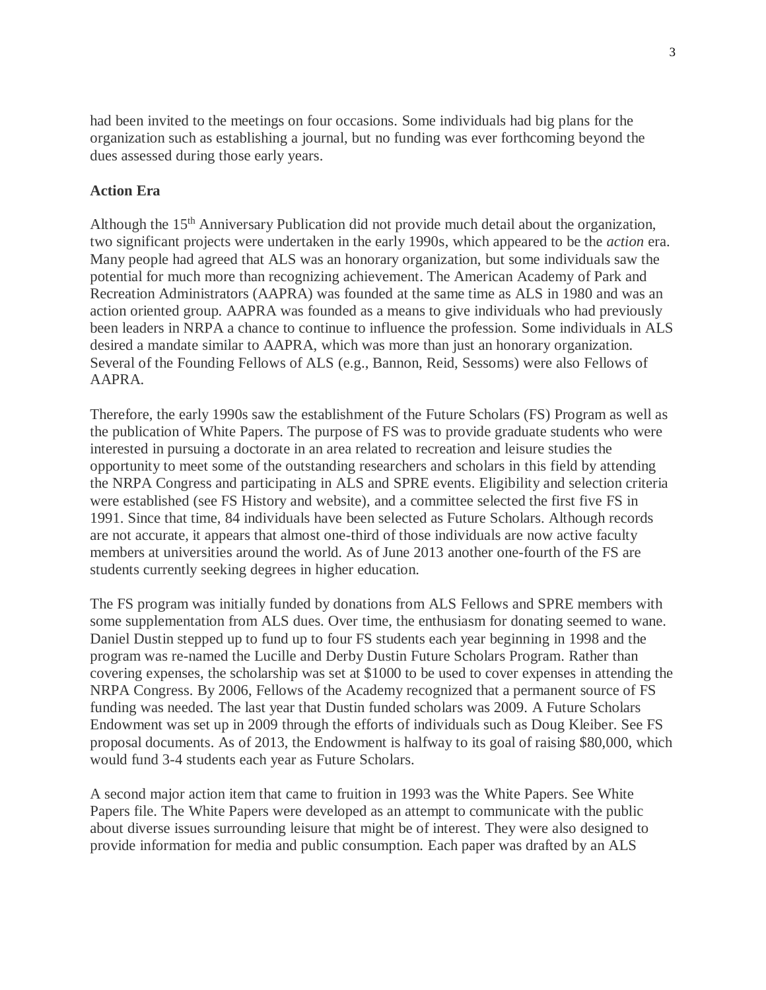had been invited to the meetings on four occasions. Some individuals had big plans for the organization such as establishing a journal, but no funding was ever forthcoming beyond the dues assessed during those early years.

## **Action Era**

Although the 15<sup>th</sup> Anniversary Publication did not provide much detail about the organization, two significant projects were undertaken in the early 1990s, which appeared to be the *action* era. Many people had agreed that ALS was an honorary organization, but some individuals saw the potential for much more than recognizing achievement. The American Academy of Park and Recreation Administrators (AAPRA) was founded at the same time as ALS in 1980 and was an action oriented group. AAPRA was founded as a means to give individuals who had previously been leaders in NRPA a chance to continue to influence the profession. Some individuals in ALS desired a mandate similar to AAPRA, which was more than just an honorary organization. Several of the Founding Fellows of ALS (e.g., Bannon, Reid, Sessoms) were also Fellows of AAPRA.

Therefore, the early 1990s saw the establishment of the Future Scholars (FS) Program as well as the publication of White Papers. The purpose of FS was to provide graduate students who were interested in pursuing a doctorate in an area related to recreation and leisure studies the opportunity to meet some of the outstanding researchers and scholars in this field by attending the NRPA Congress and participating in ALS and SPRE events. Eligibility and selection criteria were established (see FS History and website), and a committee selected the first five FS in 1991. Since that time, 84 individuals have been selected as Future Scholars. Although records are not accurate, it appears that almost one-third of those individuals are now active faculty members at universities around the world. As of June 2013 another one-fourth of the FS are students currently seeking degrees in higher education.

The FS program was initially funded by donations from ALS Fellows and SPRE members with some supplementation from ALS dues. Over time, the enthusiasm for donating seemed to wane. Daniel Dustin stepped up to fund up to four FS students each year beginning in 1998 and the program was re-named the Lucille and Derby Dustin Future Scholars Program. Rather than covering expenses, the scholarship was set at \$1000 to be used to cover expenses in attending the NRPA Congress. By 2006, Fellows of the Academy recognized that a permanent source of FS funding was needed. The last year that Dustin funded scholars was 2009. A Future Scholars Endowment was set up in 2009 through the efforts of individuals such as Doug Kleiber. See FS proposal documents. As of 2013, the Endowment is halfway to its goal of raising \$80,000, which would fund 3-4 students each year as Future Scholars.

A second major action item that came to fruition in 1993 was the White Papers. See White Papers file. The White Papers were developed as an attempt to communicate with the public about diverse issues surrounding leisure that might be of interest. They were also designed to provide information for media and public consumption. Each paper was drafted by an ALS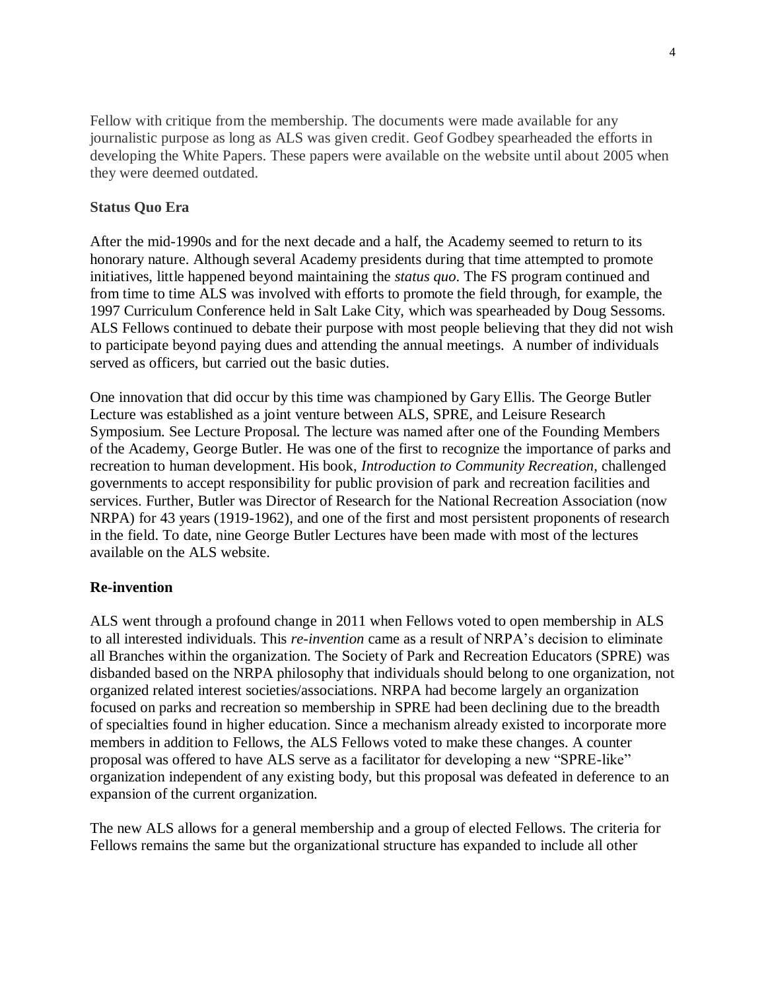Fellow with critique from the membership. The documents were made available for any journalistic purpose as long as ALS was given credit. Geof Godbey spearheaded the efforts in developing the White Papers. These papers were available on the website until about 2005 when they were deemed outdated.

### **Status Quo Era**

After the mid-1990s and for the next decade and a half, the Academy seemed to return to its honorary nature. Although several Academy presidents during that time attempted to promote initiatives, little happened beyond maintaining the *status quo*. The FS program continued and from time to time ALS was involved with efforts to promote the field through, for example, the 1997 Curriculum Conference held in Salt Lake City, which was spearheaded by Doug Sessoms. ALS Fellows continued to debate their purpose with most people believing that they did not wish to participate beyond paying dues and attending the annual meetings. A number of individuals served as officers, but carried out the basic duties.

One innovation that did occur by this time was championed by Gary Ellis. The George Butler Lecture was established as a joint venture between ALS, SPRE, and Leisure Research Symposium. See Lecture Proposal. The lecture was named after one of the Founding Members of the Academy, George Butler. He was one of the first to recognize the importance of parks and recreation to human development. His book, *Introduction to Community Recreation*, challenged governments to accept responsibility for public provision of park and recreation facilities and services. Further, Butler was Director of Research for the National Recreation Association (now NRPA) for 43 years (1919-1962), and one of the first and most persistent proponents of research in the field. To date, nine George Butler Lectures have been made with most of the lectures available on the ALS website.

# **Re-invention**

ALS went through a profound change in 2011 when Fellows voted to open membership in ALS to all interested individuals. This *re-invention* came as a result of NRPA's decision to eliminate all Branches within the organization. The Society of Park and Recreation Educators (SPRE) was disbanded based on the NRPA philosophy that individuals should belong to one organization, not organized related interest societies/associations. NRPA had become largely an organization focused on parks and recreation so membership in SPRE had been declining due to the breadth of specialties found in higher education. Since a mechanism already existed to incorporate more members in addition to Fellows, the ALS Fellows voted to make these changes. A counter proposal was offered to have ALS serve as a facilitator for developing a new "SPRE-like" organization independent of any existing body, but this proposal was defeated in deference to an expansion of the current organization.

The new ALS allows for a general membership and a group of elected Fellows. The criteria for Fellows remains the same but the organizational structure has expanded to include all other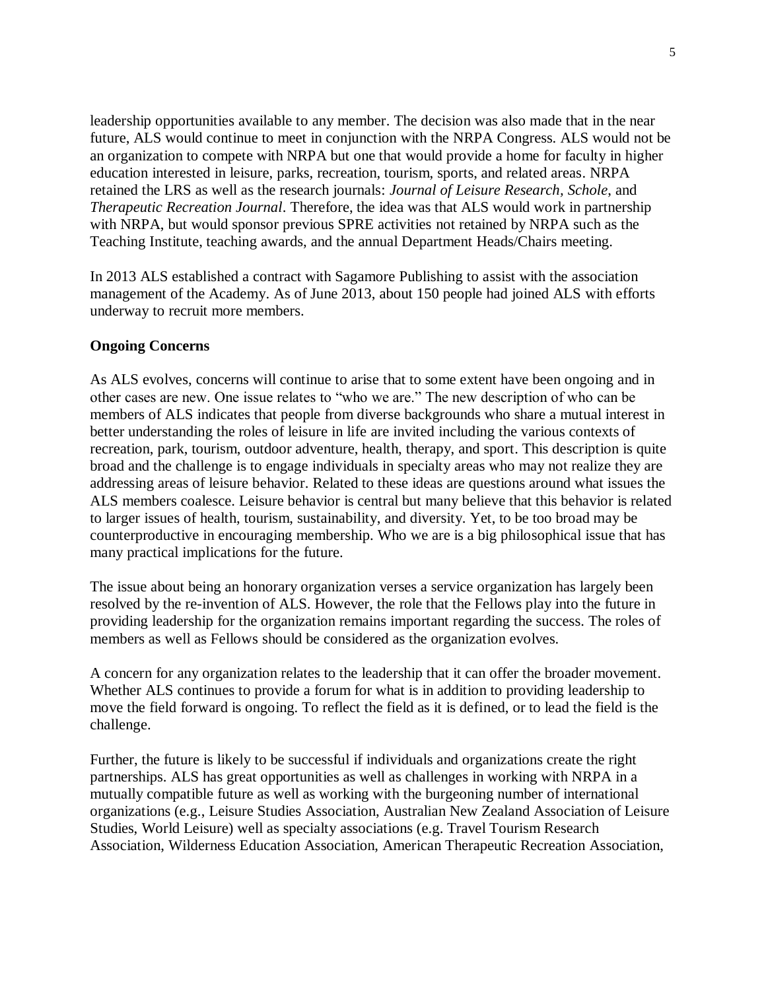leadership opportunities available to any member. The decision was also made that in the near future, ALS would continue to meet in conjunction with the NRPA Congress. ALS would not be an organization to compete with NRPA but one that would provide a home for faculty in higher education interested in leisure, parks, recreation, tourism, sports, and related areas. NRPA retained the LRS as well as the research journals: *Journal of Leisure Research, Schole*, and *Therapeutic Recreation Journal*. Therefore, the idea was that ALS would work in partnership with NRPA, but would sponsor previous SPRE activities not retained by NRPA such as the Teaching Institute, teaching awards, and the annual Department Heads/Chairs meeting.

In 2013 ALS established a contract with Sagamore Publishing to assist with the association management of the Academy. As of June 2013, about 150 people had joined ALS with efforts underway to recruit more members.

## **Ongoing Concerns**

As ALS evolves, concerns will continue to arise that to some extent have been ongoing and in other cases are new. One issue relates to "who we are." The new description of who can be members of ALS indicates that people from diverse backgrounds who share a mutual interest in better understanding the roles of leisure in life are invited including the various contexts of recreation, park, tourism, outdoor adventure, health, therapy, and sport. This description is quite broad and the challenge is to engage individuals in specialty areas who may not realize they are addressing areas of leisure behavior. Related to these ideas are questions around what issues the ALS members coalesce. Leisure behavior is central but many believe that this behavior is related to larger issues of health, tourism, sustainability, and diversity. Yet, to be too broad may be counterproductive in encouraging membership. Who we are is a big philosophical issue that has many practical implications for the future.

The issue about being an honorary organization verses a service organization has largely been resolved by the re-invention of ALS. However, the role that the Fellows play into the future in providing leadership for the organization remains important regarding the success. The roles of members as well as Fellows should be considered as the organization evolves.

A concern for any organization relates to the leadership that it can offer the broader movement. Whether ALS continues to provide a forum for what is in addition to providing leadership to move the field forward is ongoing. To reflect the field as it is defined, or to lead the field is the challenge.

Further, the future is likely to be successful if individuals and organizations create the right partnerships. ALS has great opportunities as well as challenges in working with NRPA in a mutually compatible future as well as working with the burgeoning number of international organizations (e.g., Leisure Studies Association, Australian New Zealand Association of Leisure Studies, World Leisure) well as specialty associations (e.g. Travel Tourism Research Association, Wilderness Education Association, American Therapeutic Recreation Association,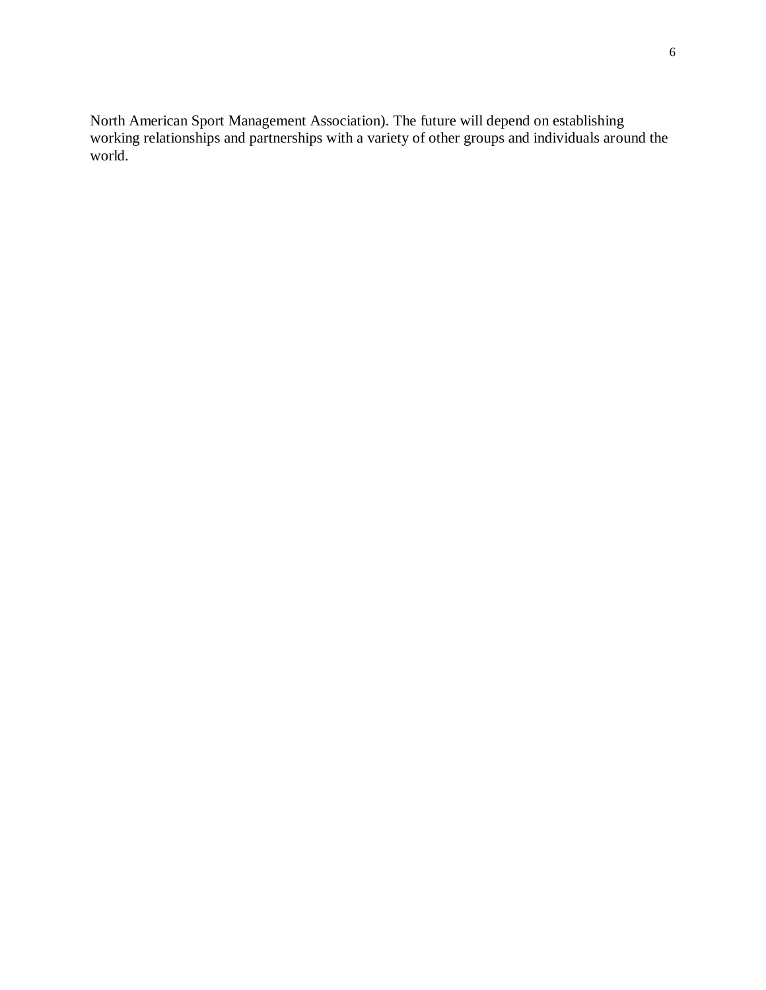North American Sport Management Association). The future will depend on establishing working relationships and partnerships with a variety of other groups and individuals around the world.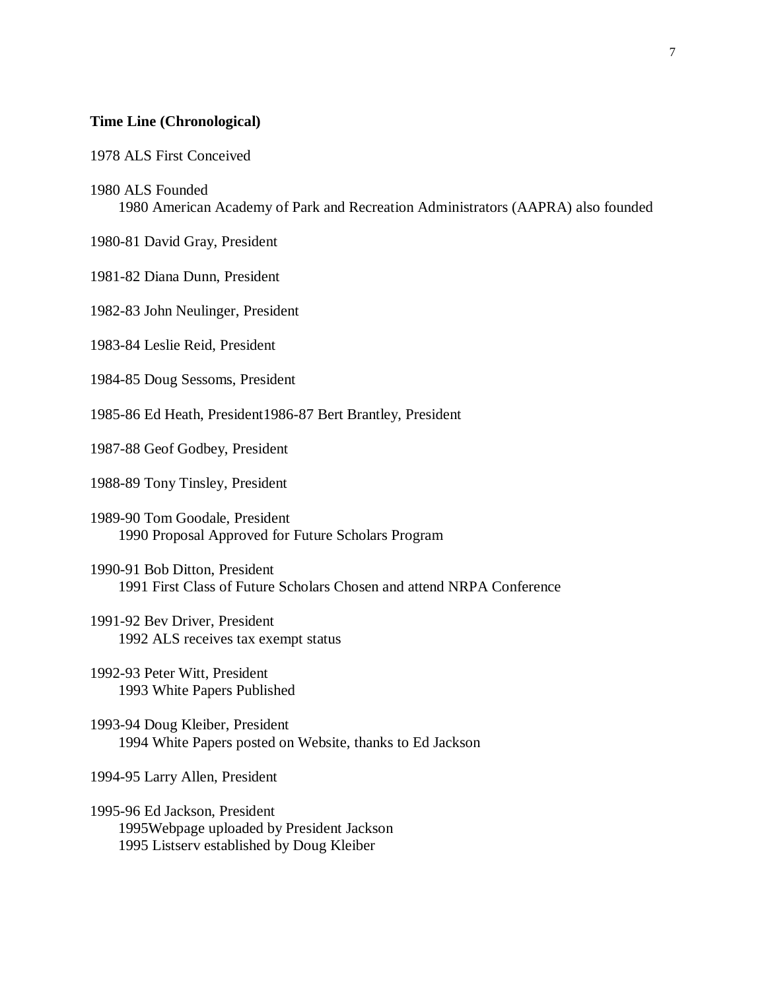#### **Time Line (Chronological)**

1978 ALS First Conceived

#### 1980 ALS Founded

1980 American Academy of Park and Recreation Administrators (AAPRA) also founded

1980-81 David Gray, President

1981-82 Diana Dunn, President

1982-83 John Neulinger, President

1983-84 Leslie Reid, President

1984-85 Doug Sessoms, President

1985-86 Ed Heath, President1986-87 Bert Brantley, President

1987-88 Geof Godbey, President

1988-89 Tony Tinsley, President

1989-90 Tom Goodale, President 1990 Proposal Approved for Future Scholars Program

1990-91 Bob Ditton, President 1991 First Class of Future Scholars Chosen and attend NRPA Conference

1991-92 Bev Driver, President 1992 ALS receives tax exempt status

1992-93 Peter Witt, President 1993 White Papers Published

1993-94 Doug Kleiber, President 1994 White Papers posted on Website, thanks to Ed Jackson

1994-95 Larry Allen, President

1995-96 Ed Jackson, President 1995Webpage uploaded by President Jackson 1995 Listserv established by Doug Kleiber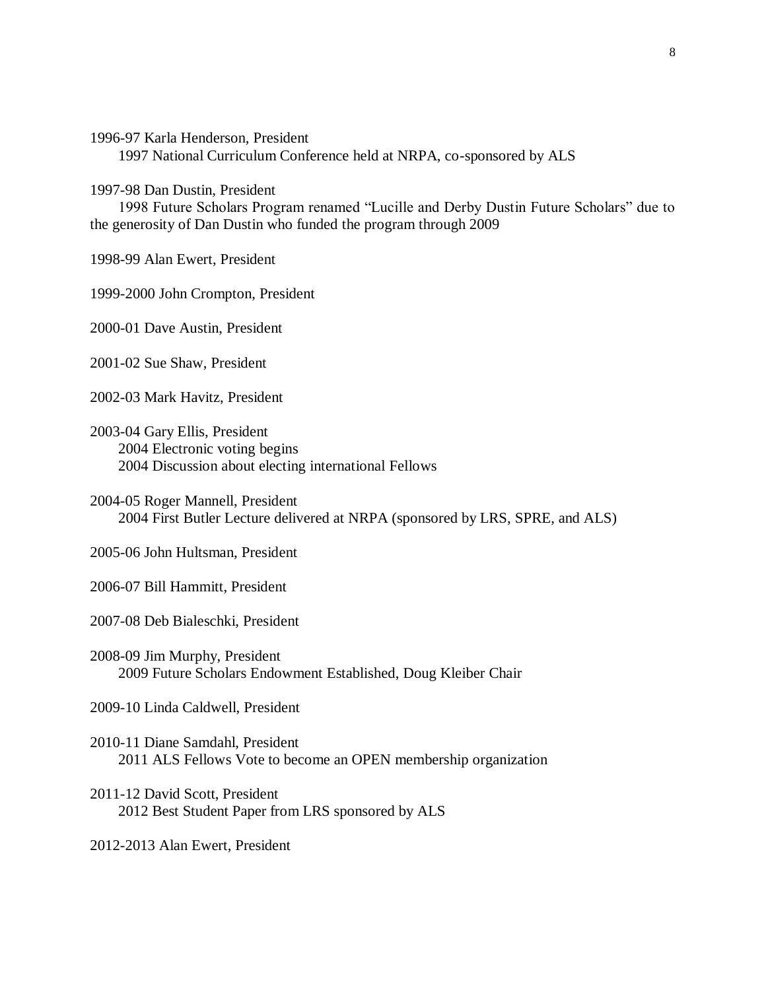1996-97 Karla Henderson, President

1997 National Curriculum Conference held at NRPA, co-sponsored by ALS

1997-98 Dan Dustin, President

1998 Future Scholars Program renamed "Lucille and Derby Dustin Future Scholars" due to the generosity of Dan Dustin who funded the program through 2009

1998-99 Alan Ewert, President

1999-2000 John Crompton, President

2000-01 Dave Austin, President

2001-02 Sue Shaw, President

2002-03 Mark Havitz, President

2003-04 Gary Ellis, President 2004 Electronic voting begins 2004 Discussion about electing international Fellows

2004-05 Roger Mannell, President 2004 First Butler Lecture delivered at NRPA (sponsored by LRS, SPRE, and ALS)

2005-06 John Hultsman, President

2006-07 Bill Hammitt, President

2007-08 Deb Bialeschki, President

2008-09 Jim Murphy, President 2009 Future Scholars Endowment Established, Doug Kleiber Chair

2009-10 Linda Caldwell, President

- 2010-11 Diane Samdahl, President 2011 ALS Fellows Vote to become an OPEN membership organization
- 2011-12 David Scott, President 2012 Best Student Paper from LRS sponsored by ALS

2012-2013 Alan Ewert, President